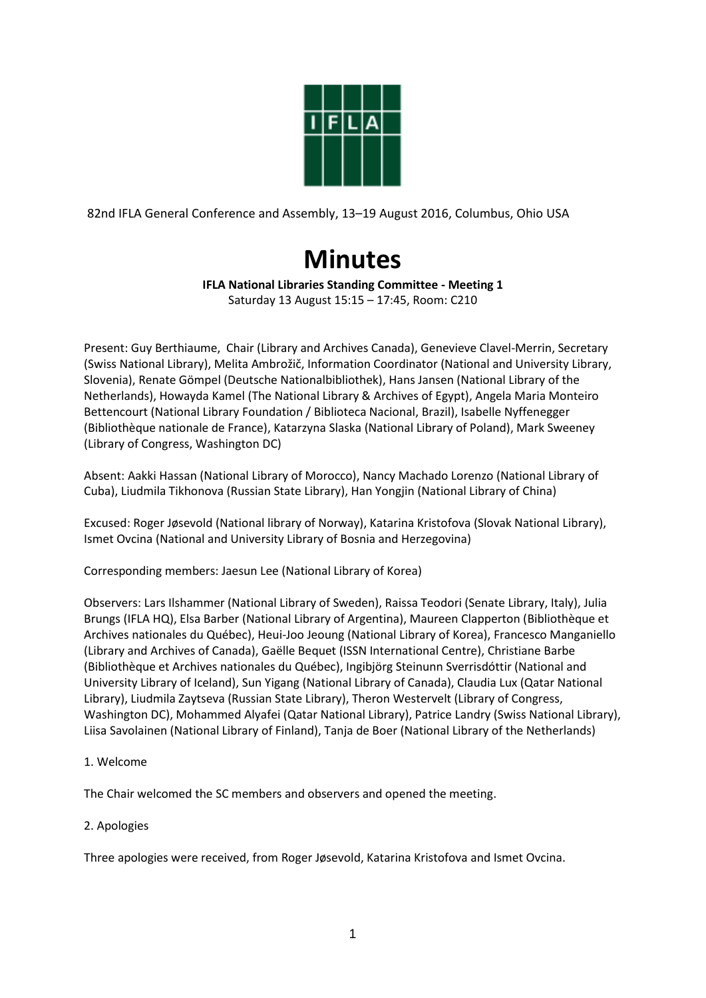

82nd IFLA General Conference and Assembly, 13–19 August 2016, Columbus, Ohio USA

# **Minutes**

## **IFLA National Libraries Standing Committee - Meeting 1**

Saturday 13 August 15:15 – 17:45, Room: C210

Present: Guy Berthiaume, Chair (Library and Archives Canada), Genevieve Clavel-Merrin, Secretary (Swiss National Library), Melita Ambrožič, Information Coordinator (National and University Library, Slovenia), Renate Gömpel (Deutsche Nationalbibliothek), Hans Jansen (National Library of the Netherlands), Howayda Kamel (The National Library & Archives of Egypt), Angela Maria Monteiro Bettencourt (National Library Foundation / Biblioteca Nacional, Brazil), Isabelle Nyffenegger (Bibliothèque nationale de France), Katarzyna Slaska (National Library of Poland), Mark Sweeney (Library of Congress, Washington DC)

Absent: Aakki Hassan (National Library of Morocco), Nancy Machado Lorenzo (National Library of Cuba), Liudmila Tikhonova (Russian State Library), Han Yongjin (National Library of China)

Excused: Roger Jøsevold (National library of Norway), Katarina Kristofova (Slovak National Library), Ismet Ovcina (National and University Library of Bosnia and Herzegovina)

Corresponding members: Jaesun Lee (National Library of Korea)

Observers: Lars Ilshammer (National Library of Sweden), Raissa Teodori (Senate Library, Italy), Julia Brungs (IFLA HQ), Elsa Barber (National Library of Argentina), Maureen Clapperton (Bibliothèque et Archives nationales du Québec), Heui-Joo Jeoung (National Library of Korea), Francesco Manganiello (Library and Archives of Canada), Gaëlle Bequet (ISSN International Centre), Christiane Barbe (Bibliothèque et Archives nationales du Québec), Ingibjörg Steinunn Sverrisdóttir (National and University Library of Iceland), Sun Yigang (National Library of Canada), Claudia Lux (Qatar National Library), Liudmila Zaytseva (Russian State Library), Theron Westervelt (Library of Congress, Washington DC), Mohammed Alyafei (Qatar National Library), Patrice Landry (Swiss National Library), Liisa Savolainen (National Library of Finland), Tanja de Boer (National Library of the Netherlands)

## 1. Welcome

The Chair welcomed the SC members and observers and opened the meeting.

### 2. Apologies

Three apologies were received, from Roger Jøsevold, Katarina Kristofova and Ismet Ovcina.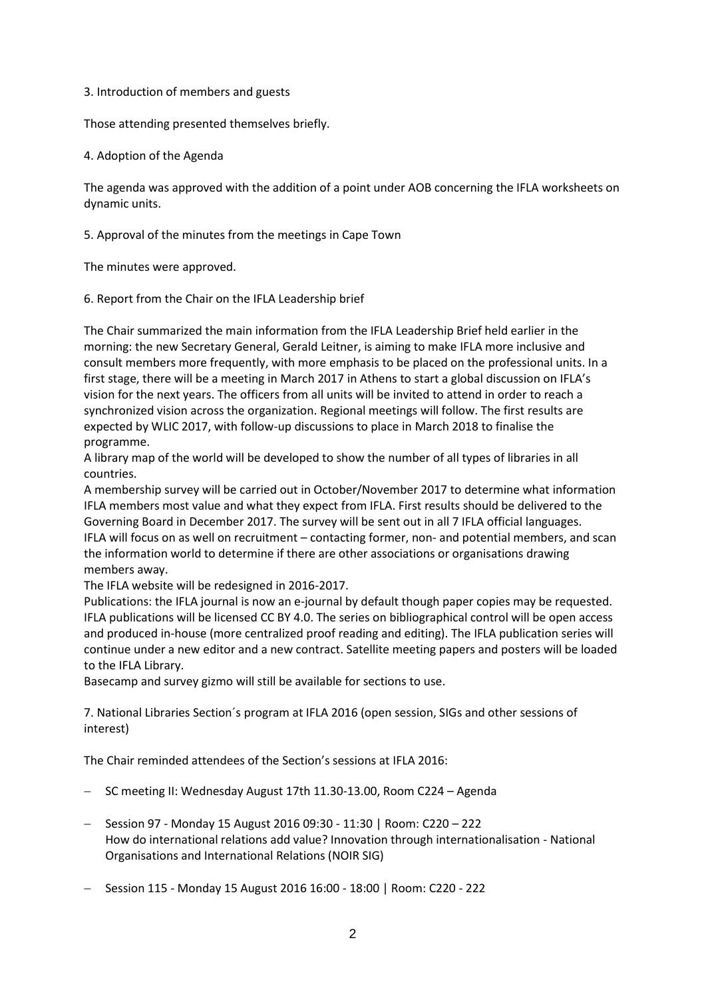### 3. Introduction of members and guests

Those attending presented themselves briefly.

4. Adoption of the Agenda

The agenda was approved with the addition of a point under AOB concerning the IFLA worksheets on dynamic units.

5. Approval of the minutes from the meetings in Cape Town

The minutes were approved.

6. Report from the Chair on the IFLA Leadership brief

The Chair summarized the main information from the IFLA Leadership Brief held earlier in the morning: the new Secretary General, Gerald Leitner, is aiming to make IFLA more inclusive and consult members more frequently, with more emphasis to be placed on the professional units. In a first stage, there will be a meeting in March 2017 in Athens to start a global discussion on IFLA's vision for the next years. The officers from all units will be invited to attend in order to reach a synchronized vision across the organization. Regional meetings will follow. The first results are expected by WLIC 2017, with follow-up discussions to place in March 2018 to finalise the programme.

A library map of the world will be developed to show the number of all types of libraries in all countries.

A membership survey will be carried out in October/November 2017 to determine what information IFLA members most value and what they expect from IFLA. First results should be delivered to the Governing Board in December 2017. The survey will be sent out in all 7 IFLA official languages. IFLA will focus on as well on recruitment – contacting former, non- and potential members, and scan the information world to determine if there are other associations or organisations drawing members away.

The IFLA website will be redesigned in 2016-2017.

Publications: the IFLA journal is now an e-journal by default though paper copies may be requested. IFLA publications will be licensed CC BY 4.0. The series on bibliographical control will be open access and produced in-house (more centralized proof reading and editing). The IFLA publication series will continue under a new editor and a new contract. Satellite meeting papers and posters will be loaded to the IFLA Library.

Basecamp and survey gizmo will still be available for sections to use.

7. National Libraries Section´s program at IFLA 2016 (open session, SIGs and other sessions of interest)

The Chair reminded attendees of the Section's sessions at IFLA 2016:

- SC meeting II: Wednesday August 17th 11.30-13.00, Room C224 Agenda
- Session 97 Monday 15 August 2016 09:30 11:30 | Room: C220 222 How do international relations add value? Innovation through internationalisation - National Organisations and International Relations (NOIR SIG)
- Session 115 Monday 15 August 2016 16:00 18:00 | Room: C220 222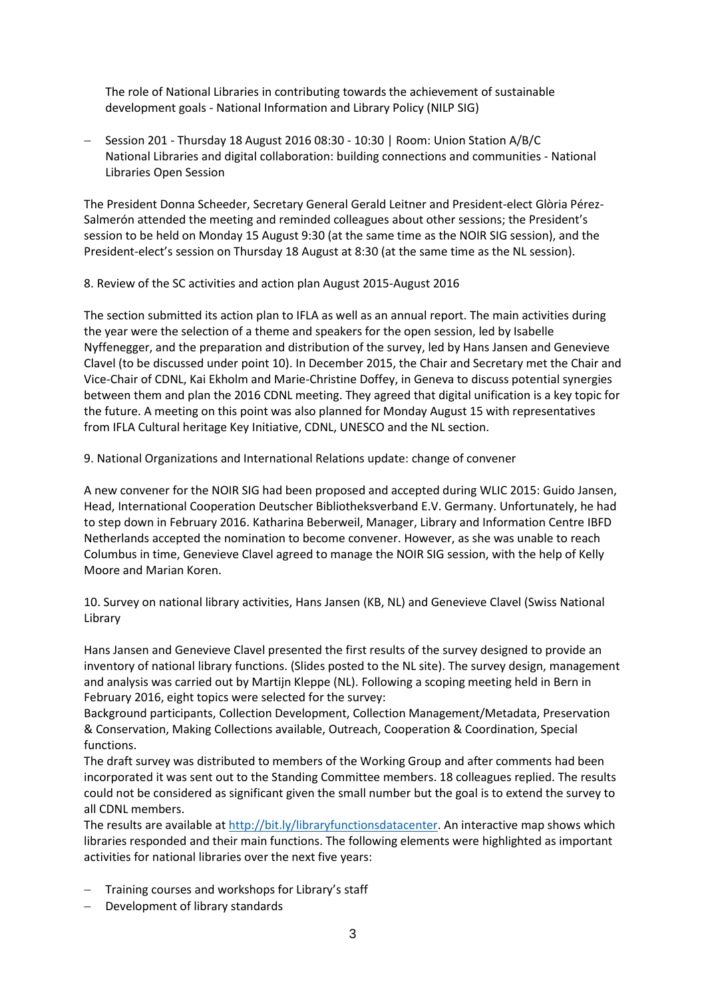The role of National Libraries in contributing towards the achievement of sustainable development goals - National Information and Library Policy (NILP SIG)

 Session 201 - Thursday 18 August 2016 08:30 - 10:30 | Room: Union Station A/B/C National Libraries and digital collaboration: building connections and communities - National Libraries Open Session

The President Donna Scheeder, Secretary General Gerald Leitner and President-elect Glòria Pérez-Salmerón attended the meeting and reminded colleagues about other sessions; the President's session to be held on Monday 15 August 9:30 (at the same time as the NOIR SIG session), and the President-elect's session on Thursday 18 August at 8:30 (at the same time as the NL session).

8. Review of the SC activities and action plan August 2015-August 2016

The section submitted its action plan to IFLA as well as an annual report. The main activities during the year were the selection of a theme and speakers for the open session, led by Isabelle Nyffenegger, and the preparation and distribution of the survey, led by Hans Jansen and Genevieve Clavel (to be discussed under point 10). In December 2015, the Chair and Secretary met the Chair and Vice-Chair of CDNL, Kai Ekholm and Marie-Christine Doffey, in Geneva to discuss potential synergies between them and plan the 2016 CDNL meeting. They agreed that digital unification is a key topic for the future. A meeting on this point was also planned for Monday August 15 with representatives from IFLA Cultural heritage Key Initiative, CDNL, UNESCO and the NL section.

9. National Organizations and International Relations update: change of convener

A new convener for the NOIR SIG had been proposed and accepted during WLIC 2015: Guido Jansen, Head, International Cooperation Deutscher Bibliotheksverband E.V. Germany. Unfortunately, he had to step down in February 2016. Katharina Beberweil, Manager, Library and Information Centre IBFD Netherlands accepted the nomination to become convener. However, as she was unable to reach Columbus in time, Genevieve Clavel agreed to manage the NOIR SIG session, with the help of Kelly Moore and Marian Koren.

10. Survey on national library activities, Hans Jansen (KB, NL) and Genevieve Clavel (Swiss National Library

Hans Jansen and Genevieve Clavel presented the first results of the survey designed to provide an inventory of national library functions. (Slides posted to the NL site). The survey design, management and analysis was carried out by Martijn Kleppe (NL). Following a scoping meeting held in Bern in February 2016, eight topics were selected for the survey:

Background participants, Collection Development, Collection Management/Metadata, Preservation & Conservation, Making Collections available, Outreach, Cooperation & Coordination, Special functions.

The draft survey was distributed to members of the Working Group and after comments had been incorporated it was sent out to the Standing Committee members. 18 colleagues replied. The results could not be considered as significant given the small number but the goal is to extend the survey to all CDNL members.

The results are available at [http://bit.ly/libraryfunctionsdatacenter.](http://bit.ly/libraryfunctionsdatacenter) An interactive map shows which libraries responded and their main functions. The following elements were highlighted as important activities for national libraries over the next five years:

- Training courses and workshops for Library's staff
- Development of library standards